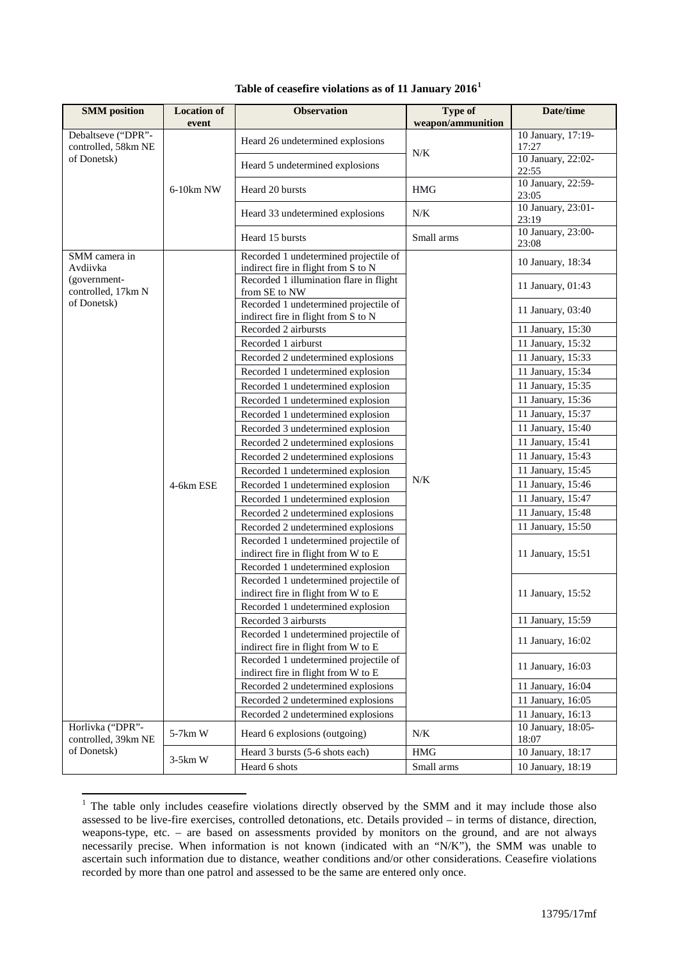| <b>SMM</b> position       | <b>Location of</b><br>event | <b>Observation</b>                                                           | <b>Type of</b><br>weapon/ammunition | Date/time                   |
|---------------------------|-----------------------------|------------------------------------------------------------------------------|-------------------------------------|-----------------------------|
| Debaltseve ("DPR"-        |                             |                                                                              |                                     | 10 January, 17:19-          |
| controlled, 58km NE       |                             | Heard 26 undetermined explosions                                             | N/K                                 | 17:27                       |
| of Donetsk)               |                             | Heard 5 undetermined explosions                                              |                                     | 10 January, 22:02-          |
|                           |                             |                                                                              |                                     | 22:55                       |
|                           | 6-10km NW                   | Heard 20 bursts                                                              | <b>HMG</b>                          | 10 January, 22:59-<br>23:05 |
|                           |                             |                                                                              |                                     | 10 January, 23:01-          |
|                           |                             | Heard 33 undetermined explosions                                             | N/K                                 | 23:19                       |
|                           |                             | Heard 15 bursts                                                              | Small arms                          | 10 January, 23:00-<br>23:08 |
| SMM camera in<br>Avdiivka |                             | Recorded 1 undetermined projectile of<br>indirect fire in flight from S to N |                                     | 10 January, 18:34           |
| (government-              |                             | Recorded 1 illumination flare in flight                                      |                                     |                             |
| controlled, 17km N        |                             | from SE to NW                                                                |                                     | 11 January, 01:43           |
| of Donetsk)               |                             | Recorded 1 undetermined projectile of                                        |                                     | 11 January, 03:40           |
|                           |                             | indirect fire in flight from S to N                                          |                                     |                             |
|                           |                             | Recorded 2 airbursts                                                         |                                     | 11 January, 15:30           |
|                           |                             | Recorded 1 airburst                                                          |                                     | 11 January, 15:32           |
|                           |                             | Recorded 2 undetermined explosions                                           |                                     | 11 January, 15:33           |
|                           |                             | Recorded 1 undetermined explosion                                            |                                     | 11 January, 15:34           |
|                           |                             | Recorded 1 undetermined explosion                                            |                                     | 11 January, 15:35           |
|                           |                             | Recorded 1 undetermined explosion                                            |                                     | 11 January, 15:36           |
|                           |                             | Recorded 1 undetermined explosion                                            | N/K                                 | 11 January, 15:37           |
|                           | 4-6km ESE                   | Recorded 3 undetermined explosion                                            |                                     | 11 January, 15:40           |
|                           |                             | Recorded 2 undetermined explosions                                           |                                     | 11 January, 15:41           |
|                           |                             | Recorded 2 undetermined explosions                                           |                                     | 11 January, 15:43           |
|                           |                             | Recorded 1 undetermined explosion                                            |                                     | 11 January, 15:45           |
|                           |                             | Recorded 1 undetermined explosion                                            |                                     | 11 January, 15:46           |
|                           |                             | Recorded 1 undetermined explosion                                            |                                     | 11 January, 15:47           |
|                           |                             | Recorded 2 undetermined explosions                                           |                                     | 11 January, 15:48           |
|                           |                             | Recorded 2 undetermined explosions                                           |                                     | 11 January, 15:50           |
|                           |                             | Recorded 1 undetermined projectile of                                        |                                     |                             |
|                           |                             | indirect fire in flight from W to E                                          |                                     | 11 January, 15:51           |
|                           |                             | Recorded 1 undetermined explosion                                            |                                     |                             |
|                           |                             | Recorded 1 undetermined projectile of                                        |                                     |                             |
|                           |                             | indirect fire in flight from W to E                                          |                                     | 11 January, 15:52           |
|                           |                             | Recorded 1 undetermined explosion                                            |                                     |                             |
|                           |                             | Recorded 3 airbursts                                                         |                                     | 11 January, 15:59           |
|                           |                             | Recorded 1 undetermined projectile of                                        |                                     | 11 January, 16:02           |
|                           |                             | indirect fire in flight from W to E<br>Recorded 1 undetermined projectile of |                                     |                             |
|                           |                             | indirect fire in flight from W to E                                          |                                     | 11 January, 16:03           |
|                           |                             | Recorded 2 undetermined explosions                                           |                                     | 11 January, 16:04           |
|                           |                             | Recorded 2 undetermined explosions                                           |                                     | 11 January, 16:05           |
|                           |                             | Recorded 2 undetermined explosions                                           |                                     | 11 January, 16:13           |
| Horlivka ("DPR"-          |                             |                                                                              |                                     | 10 January, 18:05-          |
| controlled, 39km NE       | 5-7km W                     | Heard 6 explosions (outgoing)                                                | N/K                                 | 18:07                       |
| of Donetsk)               | $3-5km$ W                   | Heard 3 bursts (5-6 shots each)                                              | <b>HMG</b>                          | 10 January, 18:17           |
|                           |                             | Heard 6 shots                                                                | Small arms                          | 10 January, 18:19           |

## **Table of ceasefire violations as of 11 January 2016[1](#page-0-0)**

<span id="page-0-0"></span><sup>&</sup>lt;sup>1</sup> The table only includes ceasefire violations directly observed by the SMM and it may include those also assessed to be live-fire exercises, controlled detonations, etc. Details provided – in terms of distance, direction, weapons-type, etc. – are based on assessments provided by monitors on the ground, and are not always necessarily precise. When information is not known (indicated with an "N/K"), the SMM was unable to ascertain such information due to distance, weather conditions and/or other considerations. Ceasefire violations recorded by more than one patrol and assessed to be the same are entered only once.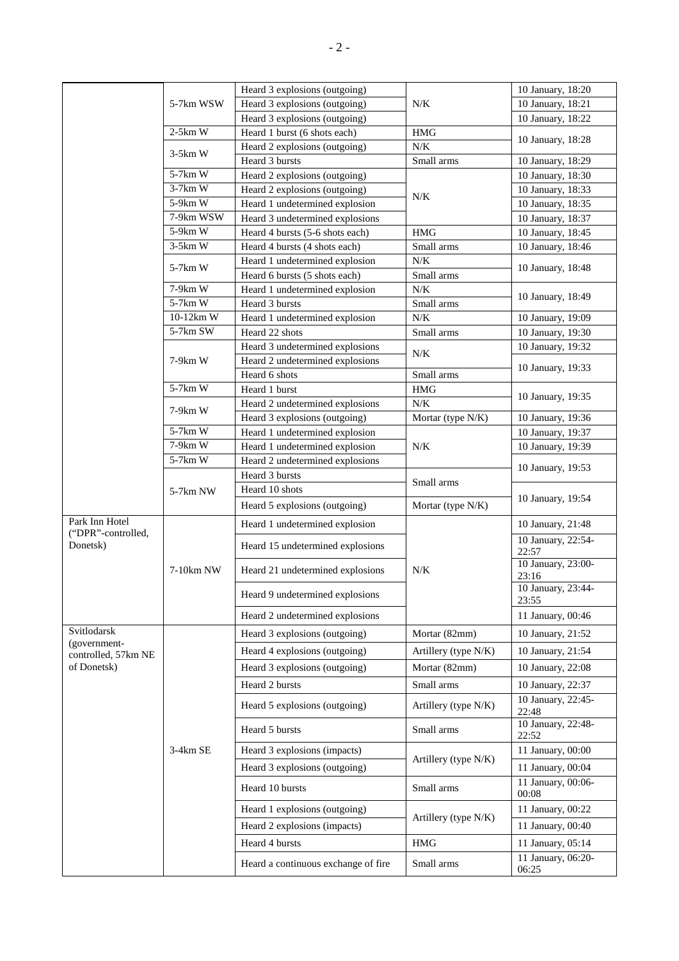|                                      | 5-7km WSW              | Heard 3 explosions (outgoing)       | $N\!/\!K$            | 10 January, 18:20           |
|--------------------------------------|------------------------|-------------------------------------|----------------------|-----------------------------|
|                                      |                        | Heard 3 explosions (outgoing)       |                      | 10 January, 18:21           |
|                                      |                        | Heard 3 explosions (outgoing)       |                      | 10 January, 18:22           |
|                                      | $2-5km$ W              | Heard 1 burst (6 shots each)        | <b>HMG</b>           | 10 January, 18:28           |
|                                      | $3-5km$ W              | Heard 2 explosions (outgoing)       | $N\!/\!K$            |                             |
|                                      |                        | Heard 3 bursts                      | Small arms           | 10 January, 18:29           |
|                                      | $5-7km$ W              | Heard 2 explosions (outgoing)       |                      | 10 January, 18:30           |
|                                      | $3-7km$ W              | Heard 2 explosions (outgoing)       | $N/K$                | 10 January, 18:33           |
|                                      | 5-9km W                | Heard 1 undetermined explosion      |                      | 10 January, 18:35           |
|                                      | 7-9km WSW              | Heard 3 undetermined explosions     |                      | 10 January, 18:37           |
|                                      | 5-9km W                | Heard 4 bursts (5-6 shots each)     | <b>HMG</b>           | 10 January, 18:45           |
|                                      | $3-5km$ W              | Heard 4 bursts (4 shots each)       | Small arms           | 10 January, 18:46           |
|                                      | 5-7km W                | Heard 1 undetermined explosion      | $N/K$                | 10 January, 18:48           |
|                                      |                        | Heard 6 bursts (5 shots each)       | Small arms           |                             |
|                                      | 7-9km W                | Heard 1 undetermined explosion      | $N/K$                | 10 January, 18:49           |
|                                      | $5-7km$ W              | Heard 3 bursts                      | Small arms           |                             |
|                                      | $10-12km$ W            | Heard 1 undetermined explosion      | $N/K$                | 10 January, 19:09           |
|                                      | 5-7km SW               | Heard 22 shots                      | Small arms           | 10 January, 19:30           |
|                                      |                        | Heard 3 undetermined explosions     | $N/K$                | 10 January, 19:32           |
|                                      | 7-9km W                | Heard 2 undetermined explosions     |                      | 10 January, 19:33           |
|                                      | $5-7km$ W              | Heard 6 shots                       | Small arms           |                             |
|                                      |                        | Heard 1 burst                       | <b>HMG</b>           | 10 January, 19:35           |
|                                      | $7-9km$ W              | Heard 2 undetermined explosions     | N/K                  |                             |
|                                      |                        | Heard 3 explosions (outgoing)       | Mortar (type N/K)    | 10 January, 19:36           |
|                                      | $5-7km$ W              | Heard 1 undetermined explosion      |                      | 10 January, 19:37           |
|                                      | $7-9km$ W<br>$5-7km$ W | Heard 1 undetermined explosion      | $N/K$                | 10 January, 19:39           |
|                                      |                        | Heard 2 undetermined explosions     |                      | 10 January, 19:53           |
|                                      |                        | Heard 3 bursts                      | Small arms           |                             |
|                                      | 5-7km NW               | Heard 10 shots                      |                      | 10 January, 19:54           |
|                                      |                        | Heard 5 explosions (outgoing)       | Mortar (type N/K)    |                             |
| Park Inn Hotel<br>("DPR"-controlled, |                        | Heard 1 undetermined explosion      |                      | 10 January, 21:48           |
| Donetsk)                             | 7-10km NW              | Heard 15 undetermined explosions    | $N/K$                | 10 January, 22:54-<br>22:57 |
|                                      |                        | Heard 21 undetermined explosions    |                      | 10 January, 23:00-<br>23:16 |
|                                      |                        | Heard 9 undetermined explosions     |                      | 10 January, 23:44-<br>23:55 |
|                                      |                        |                                     |                      |                             |
|                                      |                        | Heard 2 undetermined explosions     |                      | 11 January, 00:46           |
| Svitlodarsk<br>(government-          |                        | Heard 3 explosions (outgoing)       | Mortar (82mm)        | 10 January, 21:52           |
| controlled, 57km NE                  |                        | Heard 4 explosions (outgoing)       | Artillery (type N/K) | 10 January, 21:54           |
| of Donetsk)                          |                        | Heard 3 explosions (outgoing)       | Mortar (82mm)        | 10 January, 22:08           |
|                                      |                        | Heard 2 bursts                      | Small arms           | 10 January, 22:37           |
|                                      |                        | Heard 5 explosions (outgoing)       | Artillery (type N/K) | 10 January, 22:45-<br>22:48 |
|                                      |                        | Heard 5 bursts                      | Small arms           | 10 January, 22:48-          |
|                                      |                        |                                     |                      | 22:52                       |
|                                      | 3-4km SE               | Heard 3 explosions (impacts)        | Artillery (type N/K) | 11 January, 00:00           |
|                                      |                        | Heard 3 explosions (outgoing)       |                      | 11 January, 00:04           |
|                                      |                        | Heard 10 bursts                     | Small arms           | 11 January, 00:06-<br>00:08 |
|                                      |                        | Heard 1 explosions (outgoing)       | Artillery (type N/K) | 11 January, 00:22           |
|                                      |                        | Heard 2 explosions (impacts)        |                      | 11 January, 00:40           |
|                                      |                        | Heard 4 bursts                      | <b>HMG</b>           | 11 January, 05:14           |
|                                      |                        | Heard a continuous exchange of fire | Small arms           | 11 January, 06:20-<br>06:25 |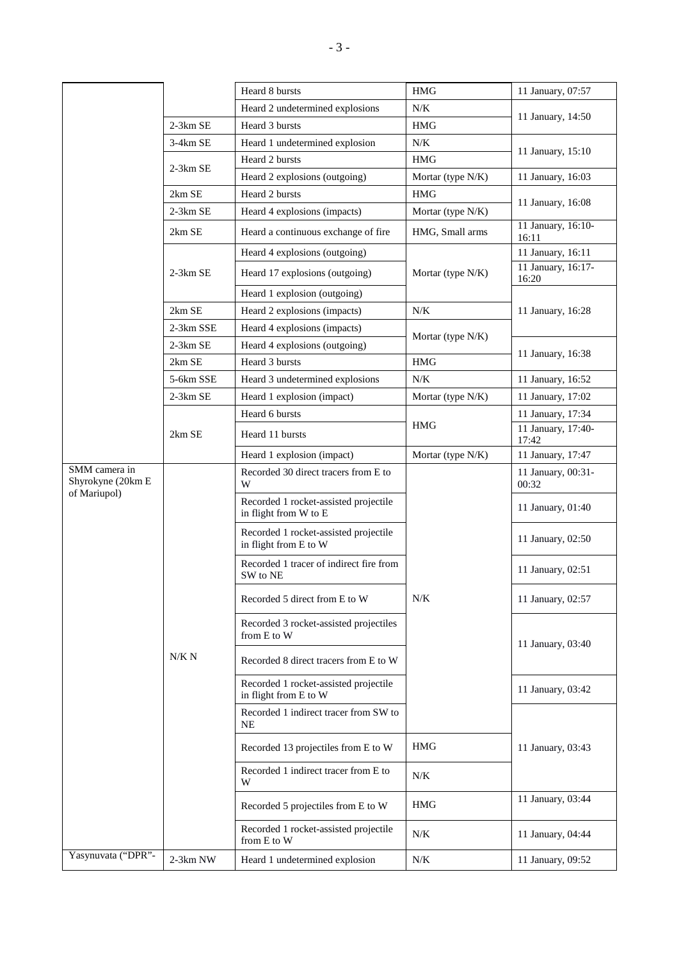|                                    |            | Heard 8 bursts                                                 | <b>HMG</b>        | 11 January, 07:57           |
|------------------------------------|------------|----------------------------------------------------------------|-------------------|-----------------------------|
|                                    |            | Heard 2 undetermined explosions                                | N/K               | 11 January, 14:50           |
|                                    | 2-3km SE   | Heard 3 bursts                                                 | <b>HMG</b>        |                             |
|                                    | 3-4km SE   | Heard 1 undetermined explosion                                 | N/K               | 11 January, 15:10           |
|                                    | $2-3km$ SE | Heard 2 bursts                                                 | <b>HMG</b>        |                             |
|                                    |            | Heard 2 explosions (outgoing)                                  | Mortar (type N/K) | 11 January, 16:03           |
|                                    | 2km SE     | Heard 2 bursts                                                 | <b>HMG</b>        | 11 January, 16:08           |
|                                    | $2-3km$ SE | Heard 4 explosions (impacts)                                   | Mortar (type N/K) |                             |
|                                    | 2km SE     | Heard a continuous exchange of fire                            | HMG, Small arms   | 11 January, 16:10-<br>16:11 |
|                                    |            | Heard 4 explosions (outgoing)                                  |                   | 11 January, 16:11           |
|                                    | $2-3km$ SE | Heard 17 explosions (outgoing)                                 | Mortar (type N/K) | 11 January, 16:17-<br>16:20 |
|                                    |            | Heard 1 explosion (outgoing)                                   |                   |                             |
|                                    | 2km SE     | Heard 2 explosions (impacts)                                   | $N/K$             | 11 January, 16:28           |
|                                    | 2-3km SSE  | Heard 4 explosions (impacts)                                   |                   |                             |
|                                    | 2-3km SE   | Heard 4 explosions (outgoing)                                  | Mortar (type N/K) |                             |
|                                    | 2km SE     | Heard 3 bursts                                                 | <b>HMG</b>        | 11 January, 16:38           |
|                                    | 5-6km SSE  | Heard 3 undetermined explosions                                | $N/K$             | 11 January, 16:52           |
|                                    | 2-3km SE   | Heard 1 explosion (impact)                                     | Mortar (type N/K) | 11 January, 17:02           |
|                                    |            | Heard 6 bursts                                                 |                   | 11 January, 17:34           |
|                                    | 2km SE     | Heard 11 bursts                                                | <b>HMG</b>        | 11 January, 17:40-<br>17:42 |
|                                    |            | Heard 1 explosion (impact)                                     | Mortar (type N/K) | 11 January, 17:47           |
| SMM camera in<br>Shyrokyne (20km E | N/K N      | Recorded 30 direct tracers from E to<br>W                      | $N/K$             | 11 January, 00:31-<br>00:32 |
| of Mariupol)                       |            | Recorded 1 rocket-assisted projectile<br>in flight from W to E |                   | 11 January, 01:40           |
|                                    |            | Recorded 1 rocket-assisted projectile<br>in flight from E to W |                   | 11 January, 02:50           |
|                                    |            | Recorded 1 tracer of indirect fire from<br>SW to NE            |                   | 11 January, 02:51           |
|                                    |            | Recorded 5 direct from E to W                                  |                   | 11 January, 02:57           |
|                                    |            | Recorded 3 rocket-assisted projectiles<br>from E to W          |                   | 11 January, 03:40           |
|                                    |            | Recorded 8 direct tracers from E to W                          |                   |                             |
|                                    |            | Recorded 1 rocket-assisted projectile<br>in flight from E to W |                   | 11 January, 03:42           |
|                                    |            | Recorded 1 indirect tracer from SW to<br>NE                    |                   |                             |
|                                    |            | Recorded 13 projectiles from E to W                            | <b>HMG</b>        | 11 January, 03:43           |
|                                    |            | Recorded 1 indirect tracer from E to<br>W                      | N/K               |                             |
|                                    |            | Recorded 5 projectiles from E to W                             | <b>HMG</b>        | 11 January, 03:44           |
|                                    |            | Recorded 1 rocket-assisted projectile<br>from E to W           | N/K               | 11 January, 04:44           |
| Yasynuvata ("DPR"-                 | 2-3km NW   | Heard 1 undetermined explosion                                 | N/K               | 11 January, 09:52           |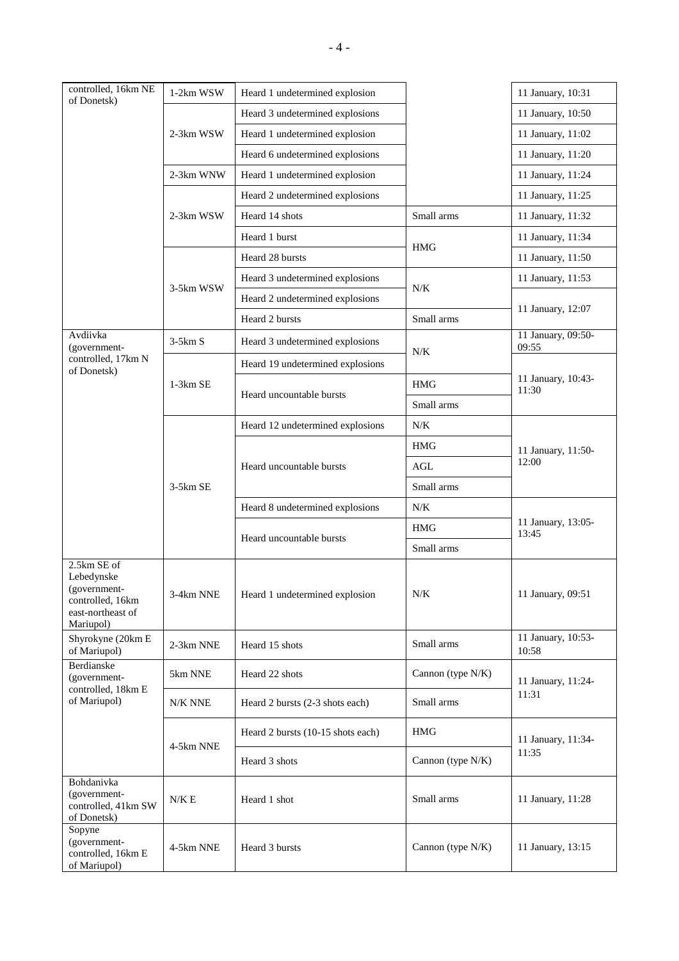| controlled, 16km NE<br>of Donetsk)                                                              | 1-2km WSW  | Heard 1 undetermined explosion    |                   | 11 January, 10:31           |
|-------------------------------------------------------------------------------------------------|------------|-----------------------------------|-------------------|-----------------------------|
|                                                                                                 |            | Heard 3 undetermined explosions   |                   | 11 January, 10:50           |
|                                                                                                 | 2-3km WSW  | Heard 1 undetermined explosion    |                   | 11 January, 11:02           |
|                                                                                                 |            | Heard 6 undetermined explosions   |                   | 11 January, 11:20           |
|                                                                                                 | 2-3km WNW  | Heard 1 undetermined explosion    |                   | 11 January, 11:24           |
|                                                                                                 |            | Heard 2 undetermined explosions   |                   | 11 January, 11:25           |
|                                                                                                 | 2-3km WSW  | Heard 14 shots                    | Small arms        | 11 January, 11:32           |
|                                                                                                 |            | Heard 1 burst                     | <b>HMG</b>        | 11 January, 11:34           |
|                                                                                                 |            | Heard 28 bursts                   |                   | 11 January, 11:50           |
|                                                                                                 | 3-5km WSW  | Heard 3 undetermined explosions   | $N/K$             | 11 January, 11:53           |
|                                                                                                 |            | Heard 2 undetermined explosions   |                   |                             |
|                                                                                                 |            | Heard 2 bursts                    | Small arms        | 11 January, 12:07           |
| Avdiivka<br>(government-                                                                        | $3-5km S$  | Heard 3 undetermined explosions   | N/K               | 11 January, 09:50-<br>09:55 |
| controlled, 17km N<br>of Donetsk)                                                               |            | Heard 19 undetermined explosions  |                   |                             |
|                                                                                                 | $1-3km$ SE |                                   | <b>HMG</b>        | 11 January, 10:43-<br>11:30 |
|                                                                                                 |            | Heard uncountable bursts          | Small arms        |                             |
|                                                                                                 |            | Heard 12 undetermined explosions  | N/K               |                             |
|                                                                                                 | 3-5km SE   | Heard uncountable bursts          | <b>HMG</b>        | 11 January, 11:50-<br>12:00 |
|                                                                                                 |            |                                   | AGL               |                             |
|                                                                                                 |            |                                   | Small arms        |                             |
|                                                                                                 |            | Heard 8 undetermined explosions   | N/K               | 11 January, 13:05-<br>13:45 |
|                                                                                                 |            | Heard uncountable bursts          | <b>HMG</b>        |                             |
|                                                                                                 |            |                                   | Small arms        |                             |
| 2.5km SE of<br>Lebedynske<br>(government-<br>controlled, 16km<br>east-northeast of<br>Mariupol) | 3-4km NNE  | Heard 1 undetermined explosion    | $N\!/\!K$         | 11 January, 09:51           |
| Shyrokyne (20km E<br>of Mariupol)                                                               | 2-3km NNE  | Heard 15 shots                    | Small arms        | 11 January, 10:53-<br>10:58 |
| Berdianske<br>(government-                                                                      | 5km NNE    | Heard 22 shots                    | Cannon (type N/K) | 11 January, 11:24-<br>11:31 |
| controlled, 18km E<br>of Mariupol)                                                              | N/K NNE    | Heard 2 bursts (2-3 shots each)   | Small arms        |                             |
|                                                                                                 |            | Heard 2 bursts (10-15 shots each) | <b>HMG</b>        | 11 January, 11:34-          |
|                                                                                                 | 4-5km NNE  | Heard 3 shots                     | Cannon (type N/K) | 11:35                       |
| Bohdanivka<br>(government-<br>controlled, 41km SW<br>of Donetsk)                                | N/K E      | Heard 1 shot                      | Small arms        | 11 January, 11:28           |
| Sopyne<br>(government-<br>controlled, 16km E<br>of Mariupol)                                    | 4-5km NNE  | Heard 3 bursts                    | Cannon (type N/K) | 11 January, 13:15           |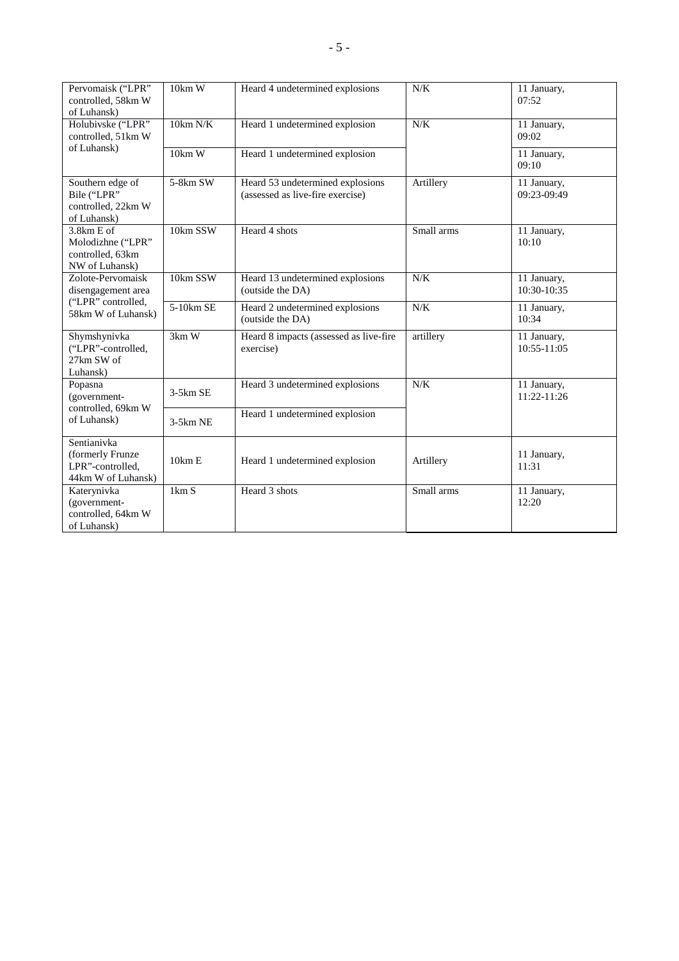| Pervomaisk ("LPR"<br>controlled, 58km W<br>of Luhansk)                              | 10km W     | Heard 4 undetermined explosions                                      | N/K        | 11 January,<br>07:52       |
|-------------------------------------------------------------------------------------|------------|----------------------------------------------------------------------|------------|----------------------------|
| Holubivske ("LPR"<br>controlled, 51km W                                             | 10km N/K   | Heard 1 undetermined explosion                                       | $N/K$      | 11 January,<br>09:02       |
| of Luhansk)                                                                         | 10km W     | Heard 1 undetermined explosion                                       |            | 11 January,<br>09:10       |
| Southern edge of<br>Bile ("LPR"<br>controlled, 22km W<br>of Luhansk)                | 5-8km SW   | Heard 53 undetermined explosions<br>(assessed as live-fire exercise) | Artillery  | 11 January,<br>09:23-09:49 |
| $3.8km E$ of<br>Molodizhne ("LPR"<br>controlled, 63km<br>NW of Luhansk)             | 10km SSW   | Heard 4 shots                                                        | Small arms | 11 January,<br>10:10       |
| Zolote-Pervomaisk<br>disengagement area<br>("LPR" controlled,<br>58km W of Luhansk) | 10km SSW   | Heard 13 undetermined explosions<br>(outside the DA)                 | N/K        | 11 January,<br>10:30-10:35 |
|                                                                                     | 5-10km SE  | Heard 2 undetermined explosions<br>(outside the DA)                  | N/K        | 11 January,<br>10:34       |
| Shymshynivka<br>("LPR"-controlled,<br>27km SW of<br>Luhansk)                        | 3km W      | Heard 8 impacts (assessed as live-fire<br>exercise)                  | artillery  | 11 January,<br>10:55-11:05 |
| Popasna<br>(government-<br>controlled, 69km W<br>of Luhansk)                        | $3-5km$ SE | Heard 3 undetermined explosions                                      | N/K        | 11 January,<br>11:22-11:26 |
|                                                                                     | $3-5km$ NE | Heard 1 undetermined explosion                                       |            |                            |
| Sentianivka<br>(formerly Frunze<br>LPR"-controlled,<br>44km W of Luhansk)           | 10km E     | Heard 1 undetermined explosion                                       | Artillery  | 11 January,<br>11:31       |
| Katerynivka<br>(government-<br>controlled, 64km W<br>of Luhansk)                    | 1km S      | Heard 3 shots                                                        | Small arms | 11 January,<br>12:20       |